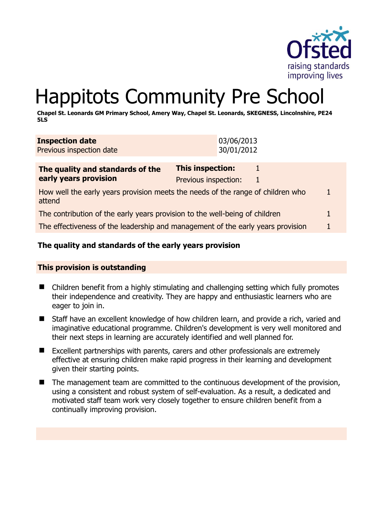

# Happitots Community Pre School

**Chapel St. Leonards GM Primary School, Amery Way, Chapel St. Leonards, SKEGNESS, Lincolnshire, PE24 5LS** 

| <b>Inspection date</b>   |  |  | 03/06/2013 |
|--------------------------|--|--|------------|
| Previous inspection date |  |  | 30/01/2012 |
|                          |  |  |            |
|                          |  |  |            |

| The quality and standards of the                                                          | This inspection:     |  |  |
|-------------------------------------------------------------------------------------------|----------------------|--|--|
| early years provision                                                                     | Previous inspection: |  |  |
| How well the early years provision meets the needs of the range of children who<br>attend |                      |  |  |
| The contribution of the early years provision to the well-being of children               |                      |  |  |
| The effectiveness of the leadership and management of the early years provision           |                      |  |  |

# **The quality and standards of the early years provision**

#### **This provision is outstanding**

- Children benefit from a highly stimulating and challenging setting which fully promotes their independence and creativity. They are happy and enthusiastic learners who are eager to join in.
- Staff have an excellent knowledge of how children learn, and provide a rich, varied and imaginative educational programme. Children's development is very well monitored and their next steps in learning are accurately identified and well planned for.
- Excellent partnerships with parents, carers and other professionals are extremely effective at ensuring children make rapid progress in their learning and development given their starting points.
- The management team are committed to the continuous development of the provision, using a consistent and robust system of self-evaluation. As a result, a dedicated and motivated staff team work very closely together to ensure children benefit from a continually improving provision.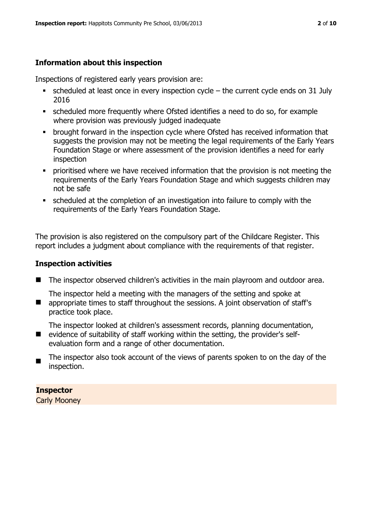# **Information about this inspection**

Inspections of registered early years provision are:

- scheduled at least once in every inspection cycle the current cycle ends on 31 July 2016
- scheduled more frequently where Ofsted identifies a need to do so, for example where provision was previously judged inadequate
- **•** brought forward in the inspection cycle where Ofsted has received information that suggests the provision may not be meeting the legal requirements of the Early Years Foundation Stage or where assessment of the provision identifies a need for early inspection
- **•** prioritised where we have received information that the provision is not meeting the requirements of the Early Years Foundation Stage and which suggests children may not be safe
- scheduled at the completion of an investigation into failure to comply with the requirements of the Early Years Foundation Stage.

The provision is also registered on the compulsory part of the Childcare Register. This report includes a judgment about compliance with the requirements of that register.

### **Inspection activities**

- The inspector observed children's activities in the main playroom and outdoor area.
- $\mathcal{L}_{\mathcal{A}}$ The inspector held a meeting with the managers of the setting and spoke at appropriate times to staff throughout the sessions. A joint observation of staff's practice took place.

The inspector looked at children's assessment records, planning documentation,

- **E** evidence of suitability of staff working within the setting, the provider's selfevaluation form and a range of other documentation.
- $\blacksquare$ The inspector also took account of the views of parents spoken to on the day of the inspection.

# **Inspector**

Carly Mooney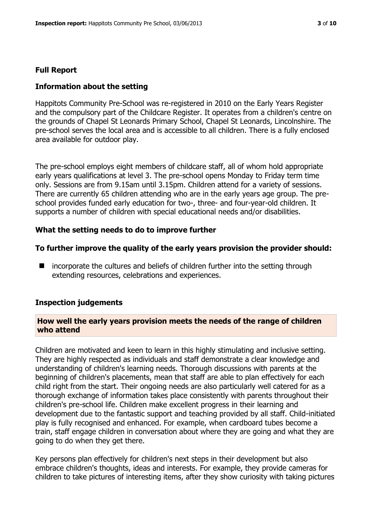#### **Full Report**

#### **Information about the setting**

Happitots Community Pre-School was re-registered in 2010 on the Early Years Register and the compulsory part of the Childcare Register. It operates from a children's centre on the grounds of Chapel St Leonards Primary School, Chapel St Leonards, Lincolnshire. The pre-school serves the local area and is accessible to all children. There is a fully enclosed area available for outdoor play.

The pre-school employs eight members of childcare staff, all of whom hold appropriate early years qualifications at level 3. The pre-school opens Monday to Friday term time only. Sessions are from 9.15am until 3.15pm. Children attend for a variety of sessions. There are currently 65 children attending who are in the early years age group. The preschool provides funded early education for two-, three- and four-year-old children. It supports a number of children with special educational needs and/or disabilities.

#### **What the setting needs to do to improve further**

#### **To further improve the quality of the early years provision the provider should:**

■ incorporate the cultures and beliefs of children further into the setting through extending resources, celebrations and experiences.

#### **Inspection judgements**

#### **How well the early years provision meets the needs of the range of children who attend**

Children are motivated and keen to learn in this highly stimulating and inclusive setting. They are highly respected as individuals and staff demonstrate a clear knowledge and understanding of children's learning needs. Thorough discussions with parents at the beginning of children's placements, mean that staff are able to plan effectively for each child right from the start. Their ongoing needs are also particularly well catered for as a thorough exchange of information takes place consistently with parents throughout their children's pre-school life. Children make excellent progress in their learning and development due to the fantastic support and teaching provided by all staff. Child-initiated play is fully recognised and enhanced. For example, when cardboard tubes become a train, staff engage children in conversation about where they are going and what they are going to do when they get there.

Key persons plan effectively for children's next steps in their development but also embrace children's thoughts, ideas and interests. For example, they provide cameras for children to take pictures of interesting items, after they show curiosity with taking pictures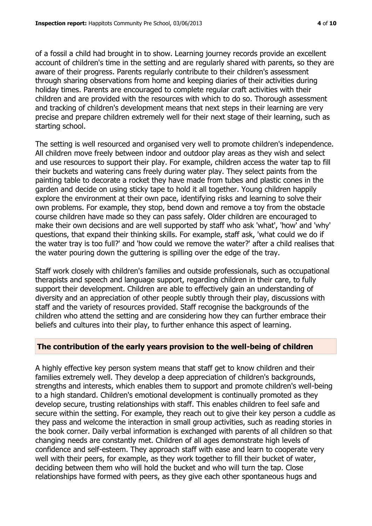of a fossil a child had brought in to show. Learning journey records provide an excellent account of children's time in the setting and are regularly shared with parents, so they are aware of their progress. Parents regularly contribute to their children's assessment through sharing observations from home and keeping diaries of their activities during holiday times. Parents are encouraged to complete regular craft activities with their children and are provided with the resources with which to do so. Thorough assessment and tracking of children's development means that next steps in their learning are very precise and prepare children extremely well for their next stage of their learning, such as starting school.

The setting is well resourced and organised very well to promote children's independence. All children move freely between indoor and outdoor play areas as they wish and select and use resources to support their play. For example, children access the water tap to fill their buckets and watering cans freely during water play. They select paints from the painting table to decorate a rocket they have made from tubes and plastic cones in the garden and decide on using sticky tape to hold it all together. Young children happily explore the environment at their own pace, identifying risks and learning to solve their own problems. For example, they stop, bend down and remove a toy from the obstacle course children have made so they can pass safely. Older children are encouraged to make their own decisions and are well supported by staff who ask 'what', 'how' and 'why' questions, that expand their thinking skills. For example, staff ask, 'what could we do if the water tray is too full?' and 'how could we remove the water?' after a child realises that the water pouring down the guttering is spilling over the edge of the tray.

Staff work closely with children's families and outside professionals, such as occupational therapists and speech and language support, regarding children in their care, to fully support their development. Children are able to effectively gain an understanding of diversity and an appreciation of other people subtly through their play, discussions with staff and the variety of resources provided. Staff recognise the backgrounds of the children who attend the setting and are considering how they can further embrace their beliefs and cultures into their play, to further enhance this aspect of learning.

# **The contribution of the early years provision to the well-being of children**

A highly effective key person system means that staff get to know children and their families extremely well. They develop a deep appreciation of children's backgrounds, strengths and interests, which enables them to support and promote children's well-being to a high standard. Children's emotional development is continually promoted as they develop secure, trusting relationships with staff. This enables children to feel safe and secure within the setting. For example, they reach out to give their key person a cuddle as they pass and welcome the interaction in small group activities, such as reading stories in the book corner. Daily verbal information is exchanged with parents of all children so that changing needs are constantly met. Children of all ages demonstrate high levels of confidence and self-esteem. They approach staff with ease and learn to cooperate very well with their peers, for example, as they work together to fill their bucket of water, deciding between them who will hold the bucket and who will turn the tap. Close relationships have formed with peers, as they give each other spontaneous hugs and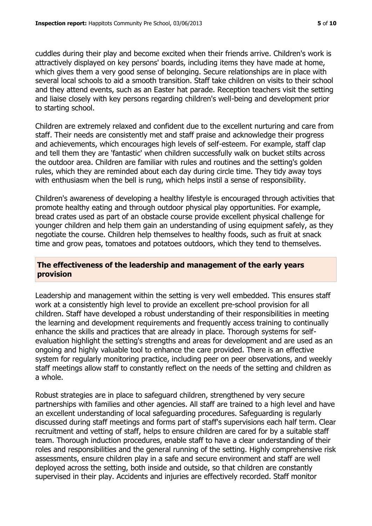cuddles during their play and become excited when their friends arrive. Children's work is attractively displayed on key persons' boards, including items they have made at home, which gives them a very good sense of belonging. Secure relationships are in place with several local schools to aid a smooth transition. Staff take children on visits to their school and they attend events, such as an Easter hat parade. Reception teachers visit the setting and liaise closely with key persons regarding children's well-being and development prior to starting school.

Children are extremely relaxed and confident due to the excellent nurturing and care from staff. Their needs are consistently met and staff praise and acknowledge their progress and achievements, which encourages high levels of self-esteem. For example, staff clap and tell them they are 'fantastic' when children successfully walk on bucket stilts across the outdoor area. Children are familiar with rules and routines and the setting's golden rules, which they are reminded about each day during circle time. They tidy away toys with enthusiasm when the bell is rung, which helps instil a sense of responsibility.

Children's awareness of developing a healthy lifestyle is encouraged through activities that promote healthy eating and through outdoor physical play opportunities. For example, bread crates used as part of an obstacle course provide excellent physical challenge for younger children and help them gain an understanding of using equipment safely, as they negotiate the course. Children help themselves to healthy foods, such as fruit at snack time and grow peas, tomatoes and potatoes outdoors, which they tend to themselves.

#### **The effectiveness of the leadership and management of the early years provision**

Leadership and management within the setting is very well embedded. This ensures staff work at a consistently high level to provide an excellent pre-school provision for all children. Staff have developed a robust understanding of their responsibilities in meeting the learning and development requirements and frequently access training to continually enhance the skills and practices that are already in place. Thorough systems for selfevaluation highlight the setting's strengths and areas for development and are used as an ongoing and highly valuable tool to enhance the care provided. There is an effective system for regularly monitoring practice, including peer on peer observations, and weekly staff meetings allow staff to constantly reflect on the needs of the setting and children as a whole.

Robust strategies are in place to safeguard children, strengthened by very secure partnerships with families and other agencies. All staff are trained to a high level and have an excellent understanding of local safeguarding procedures. Safeguarding is regularly discussed during staff meetings and forms part of staff's supervisions each half term. Clear recruitment and vetting of staff, helps to ensure children are cared for by a suitable staff team. Thorough induction procedures, enable staff to have a clear understanding of their roles and responsibilities and the general running of the setting. Highly comprehensive risk assessments, ensure children play in a safe and secure environment and staff are well deployed across the setting, both inside and outside, so that children are constantly supervised in their play. Accidents and injuries are effectively recorded. Staff monitor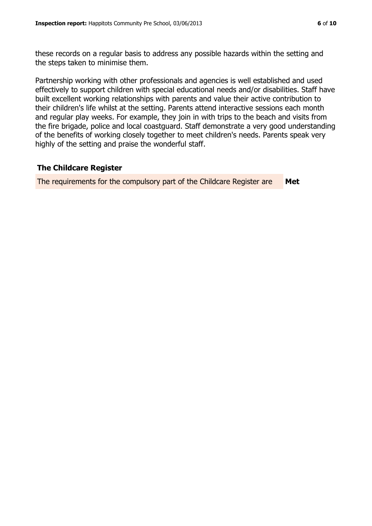these records on a regular basis to address any possible hazards within the setting and the steps taken to minimise them.

Partnership working with other professionals and agencies is well established and used effectively to support children with special educational needs and/or disabilities. Staff have built excellent working relationships with parents and value their active contribution to their children's life whilst at the setting. Parents attend interactive sessions each month and regular play weeks. For example, they join in with trips to the beach and visits from the fire brigade, police and local coastguard. Staff demonstrate a very good understanding of the benefits of working closely together to meet children's needs. Parents speak very highly of the setting and praise the wonderful staff.

#### **The Childcare Register**

The requirements for the compulsory part of the Childcare Register are **Met**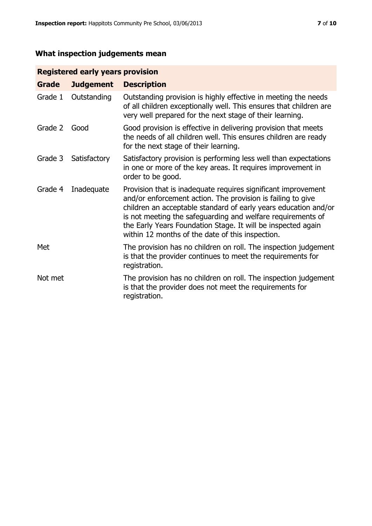# **What inspection judgements mean**

# **Registered early years provision**

| Grade   | <b>Judgement</b> | <b>Description</b>                                                                                                                                                                                                                                                                                                                                                                 |
|---------|------------------|------------------------------------------------------------------------------------------------------------------------------------------------------------------------------------------------------------------------------------------------------------------------------------------------------------------------------------------------------------------------------------|
| Grade 1 | Outstanding      | Outstanding provision is highly effective in meeting the needs<br>of all children exceptionally well. This ensures that children are<br>very well prepared for the next stage of their learning.                                                                                                                                                                                   |
| Grade 2 | Good             | Good provision is effective in delivering provision that meets<br>the needs of all children well. This ensures children are ready<br>for the next stage of their learning.                                                                                                                                                                                                         |
| Grade 3 | Satisfactory     | Satisfactory provision is performing less well than expectations<br>in one or more of the key areas. It requires improvement in<br>order to be good.                                                                                                                                                                                                                               |
| Grade 4 | Inadequate       | Provision that is inadequate requires significant improvement<br>and/or enforcement action. The provision is failing to give<br>children an acceptable standard of early years education and/or<br>is not meeting the safeguarding and welfare requirements of<br>the Early Years Foundation Stage. It will be inspected again<br>within 12 months of the date of this inspection. |
| Met     |                  | The provision has no children on roll. The inspection judgement<br>is that the provider continues to meet the requirements for<br>registration.                                                                                                                                                                                                                                    |
| Not met |                  | The provision has no children on roll. The inspection judgement<br>is that the provider does not meet the requirements for<br>registration.                                                                                                                                                                                                                                        |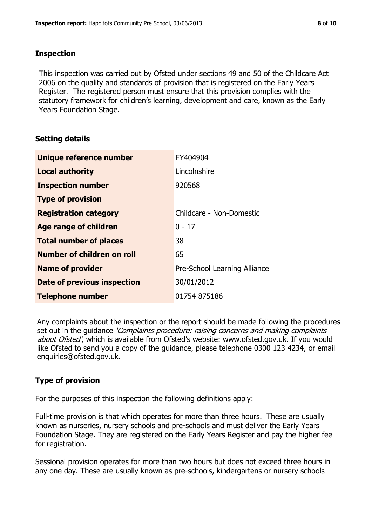### **Inspection**

This inspection was carried out by Ofsted under sections 49 and 50 of the Childcare Act 2006 on the quality and standards of provision that is registered on the Early Years Register. The registered person must ensure that this provision complies with the statutory framework for children's learning, development and care, known as the Early Years Foundation Stage.

# **Setting details**

| Unique reference number            | EY404904                     |
|------------------------------------|------------------------------|
| <b>Local authority</b>             | Lincolnshire                 |
| <b>Inspection number</b>           | 920568                       |
| <b>Type of provision</b>           |                              |
| <b>Registration category</b>       | Childcare - Non-Domestic     |
| Age range of children              | $0 - 17$                     |
| <b>Total number of places</b>      | 38                           |
| Number of children on roll         | 65                           |
| <b>Name of provider</b>            | Pre-School Learning Alliance |
| <b>Date of previous inspection</b> | 30/01/2012                   |
| <b>Telephone number</b>            | 01754 875186                 |

Any complaints about the inspection or the report should be made following the procedures set out in the guidance *'Complaints procedure: raising concerns and making complaints* about Ofsted', which is available from Ofsted's website: www.ofsted.gov.uk. If you would like Ofsted to send you a copy of the guidance, please telephone 0300 123 4234, or email enquiries@ofsted.gov.uk.

# **Type of provision**

For the purposes of this inspection the following definitions apply:

Full-time provision is that which operates for more than three hours. These are usually known as nurseries, nursery schools and pre-schools and must deliver the Early Years Foundation Stage. They are registered on the Early Years Register and pay the higher fee for registration.

Sessional provision operates for more than two hours but does not exceed three hours in any one day. These are usually known as pre-schools, kindergartens or nursery schools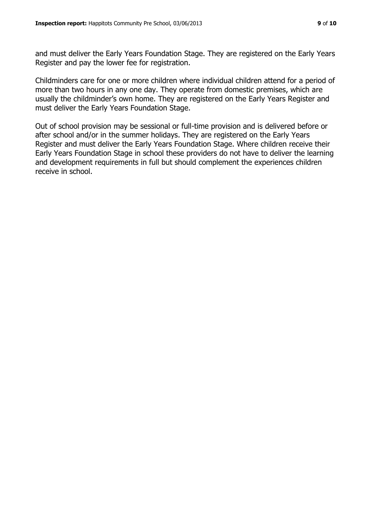and must deliver the Early Years Foundation Stage. They are registered on the Early Years Register and pay the lower fee for registration.

Childminders care for one or more children where individual children attend for a period of more than two hours in any one day. They operate from domestic premises, which are usually the childminder's own home. They are registered on the Early Years Register and must deliver the Early Years Foundation Stage.

Out of school provision may be sessional or full-time provision and is delivered before or after school and/or in the summer holidays. They are registered on the Early Years Register and must deliver the Early Years Foundation Stage. Where children receive their Early Years Foundation Stage in school these providers do not have to deliver the learning and development requirements in full but should complement the experiences children receive in school.